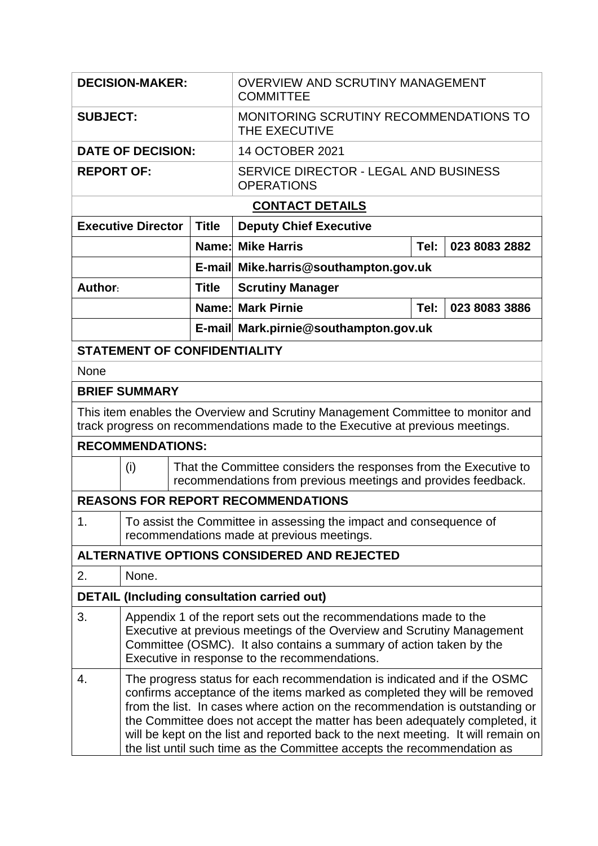| <b>DECISION-MAKER:</b>                                                                                                                                           |                                                                                                                                                                                                                                                                                                                                                                                                                                                                                     |              | <b>OVERVIEW AND SCRUTINY MANAGEMENT</b><br><b>COMMITTEE</b>                                                                       |                       |               |  |  |  |  |
|------------------------------------------------------------------------------------------------------------------------------------------------------------------|-------------------------------------------------------------------------------------------------------------------------------------------------------------------------------------------------------------------------------------------------------------------------------------------------------------------------------------------------------------------------------------------------------------------------------------------------------------------------------------|--------------|-----------------------------------------------------------------------------------------------------------------------------------|-----------------------|---------------|--|--|--|--|
| <b>SUBJECT:</b>                                                                                                                                                  |                                                                                                                                                                                                                                                                                                                                                                                                                                                                                     |              | MONITORING SCRUTINY RECOMMENDATIONS TO<br>THE EXECUTIVE                                                                           |                       |               |  |  |  |  |
| <b>DATE OF DECISION:</b>                                                                                                                                         |                                                                                                                                                                                                                                                                                                                                                                                                                                                                                     |              | 14 OCTOBER 2021                                                                                                                   |                       |               |  |  |  |  |
| <b>REPORT OF:</b>                                                                                                                                                |                                                                                                                                                                                                                                                                                                                                                                                                                                                                                     |              | SERVICE DIRECTOR - LEGAL AND BUSINESS<br><b>OPERATIONS</b>                                                                        |                       |               |  |  |  |  |
| <b>CONTACT DETAILS</b>                                                                                                                                           |                                                                                                                                                                                                                                                                                                                                                                                                                                                                                     |              |                                                                                                                                   |                       |               |  |  |  |  |
| <b>Executive Director</b>                                                                                                                                        |                                                                                                                                                                                                                                                                                                                                                                                                                                                                                     | <b>Title</b> | <b>Deputy Chief Executive</b>                                                                                                     |                       |               |  |  |  |  |
|                                                                                                                                                                  |                                                                                                                                                                                                                                                                                                                                                                                                                                                                                     |              | <b>Name: Mike Harris</b>                                                                                                          | Tel:<br>023 8083 2882 |               |  |  |  |  |
|                                                                                                                                                                  |                                                                                                                                                                                                                                                                                                                                                                                                                                                                                     |              | E-mail Mike.harris@southampton.gov.uk                                                                                             |                       |               |  |  |  |  |
| Author:                                                                                                                                                          |                                                                                                                                                                                                                                                                                                                                                                                                                                                                                     | <b>Title</b> | <b>Scrutiny Manager</b>                                                                                                           |                       |               |  |  |  |  |
|                                                                                                                                                                  |                                                                                                                                                                                                                                                                                                                                                                                                                                                                                     |              | <b>Name: Mark Pirnie</b>                                                                                                          | Tel:                  | 023 8083 3886 |  |  |  |  |
|                                                                                                                                                                  |                                                                                                                                                                                                                                                                                                                                                                                                                                                                                     |              | E-mail Mark.pirnie@southampton.gov.uk                                                                                             |                       |               |  |  |  |  |
| <b>STATEMENT OF CONFIDENTIALITY</b>                                                                                                                              |                                                                                                                                                                                                                                                                                                                                                                                                                                                                                     |              |                                                                                                                                   |                       |               |  |  |  |  |
| None                                                                                                                                                             |                                                                                                                                                                                                                                                                                                                                                                                                                                                                                     |              |                                                                                                                                   |                       |               |  |  |  |  |
| <b>BRIEF SUMMARY</b>                                                                                                                                             |                                                                                                                                                                                                                                                                                                                                                                                                                                                                                     |              |                                                                                                                                   |                       |               |  |  |  |  |
| This item enables the Overview and Scrutiny Management Committee to monitor and<br>track progress on recommendations made to the Executive at previous meetings. |                                                                                                                                                                                                                                                                                                                                                                                                                                                                                     |              |                                                                                                                                   |                       |               |  |  |  |  |
| <b>RECOMMENDATIONS:</b>                                                                                                                                          |                                                                                                                                                                                                                                                                                                                                                                                                                                                                                     |              |                                                                                                                                   |                       |               |  |  |  |  |
| (i)                                                                                                                                                              |                                                                                                                                                                                                                                                                                                                                                                                                                                                                                     |              | That the Committee considers the responses from the Executive to<br>recommendations from previous meetings and provides feedback. |                       |               |  |  |  |  |
| <b>REASONS FOR REPORT RECOMMENDATIONS</b>                                                                                                                        |                                                                                                                                                                                                                                                                                                                                                                                                                                                                                     |              |                                                                                                                                   |                       |               |  |  |  |  |
| 1.                                                                                                                                                               | To assist the Committee in assessing the impact and consequence of<br>recommendations made at previous meetings.                                                                                                                                                                                                                                                                                                                                                                    |              |                                                                                                                                   |                       |               |  |  |  |  |
| ALTERNATIVE OPTIONS CONSIDERED AND REJECTED                                                                                                                      |                                                                                                                                                                                                                                                                                                                                                                                                                                                                                     |              |                                                                                                                                   |                       |               |  |  |  |  |
| 2.                                                                                                                                                               | None.                                                                                                                                                                                                                                                                                                                                                                                                                                                                               |              |                                                                                                                                   |                       |               |  |  |  |  |
| <b>DETAIL (Including consultation carried out)</b>                                                                                                               |                                                                                                                                                                                                                                                                                                                                                                                                                                                                                     |              |                                                                                                                                   |                       |               |  |  |  |  |
| 3.                                                                                                                                                               | Appendix 1 of the report sets out the recommendations made to the<br>Executive at previous meetings of the Overview and Scrutiny Management<br>Committee (OSMC). It also contains a summary of action taken by the<br>Executive in response to the recommendations.                                                                                                                                                                                                                 |              |                                                                                                                                   |                       |               |  |  |  |  |
| 4.                                                                                                                                                               | The progress status for each recommendation is indicated and if the OSMC<br>confirms acceptance of the items marked as completed they will be removed<br>from the list. In cases where action on the recommendation is outstanding or<br>the Committee does not accept the matter has been adequately completed, it<br>will be kept on the list and reported back to the next meeting. It will remain on<br>the list until such time as the Committee accepts the recommendation as |              |                                                                                                                                   |                       |               |  |  |  |  |